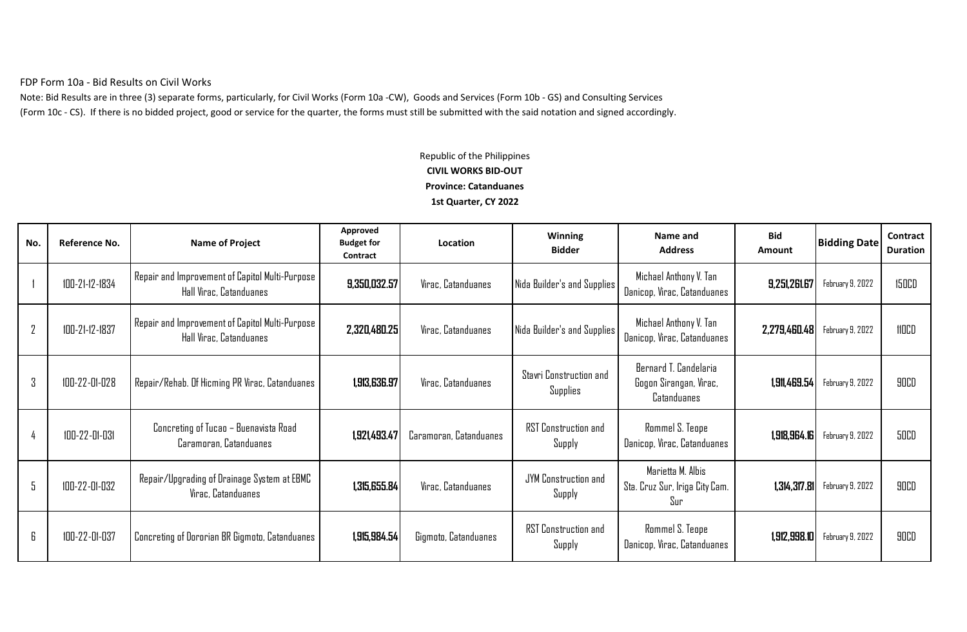FDP Form 10a - Bid Results on Civil Works

Note: Bid Results are in three (3) separate forms, particularly, for Civil Works (Form 10a -CW), Goods and Services (Form 10b - GS) and Consulting Services (Form 10c - CS). If there is no bidded project, good or service for the quarter, the forms must still be submitted with the said notation and signed accordingly.

## Republic of the Philippines **CIVIL WORKS BID-OUT Province: Catanduanes 1st Quarter, CY 2022**

| No.            | Reference No.  | <b>Name of Project</b>                                                     | Approved<br><b>Budget for</b><br>Contract | Location               | Winning<br><b>Bidder</b>              | Name and<br><b>Address</b>                                            | <b>Bid</b><br>Amount | <b>Bidding Date</b>             | Contract<br><b>Duration</b> |
|----------------|----------------|----------------------------------------------------------------------------|-------------------------------------------|------------------------|---------------------------------------|-----------------------------------------------------------------------|----------------------|---------------------------------|-----------------------------|
|                | 100-21-12-1834 | Repair and Improvement of Capitol Multi-Purpose<br>Hall Virac, Catanduanes | 9,350,032.57                              | Virac, Catanduanes     | Nida Builder's and Supplies           | Michael Anthony V. Tan<br>Danicop, Virac, Catanduanes                 | 9,251,261.67         | February 9, 2022                | <b>150CD</b>                |
| $\overline{2}$ | 100-21-12-1837 | Repair and Improvement of Capitol Multi-Purpose<br>Hall Virac, Catanduanes | 2,320,480.25                              | Virac, Catanduanes     | Nida Builder's and Supplies           | Michael Anthony V. Tan<br>Danicop, Virac, Catanduanes                 | 2,279,460.48         | February 9, 2022                | <b>HOCD</b>                 |
| 3              | 100-22-01-028  | Repair/Rehab. Of Hicming PR Virac, Catanduanes                             | 1,913,636.97                              | Virac, Catanduanes     | Stavri Construction and<br>Supplies   | Bernard T. Candelaria<br>Gogon Sirangan, Virac,<br><b>Catanduanes</b> | 1,911,469.54         | February 9, 2022                | <b>90CD</b>                 |
|                | 100-22-01-031  | Concreting of Tucao – Buenavista Road<br>Caramoran, Catanduanes            | 1,921,493.47                              | Caramoran, Catanduanes | <b>RST Construction and</b><br>Supply | Rommel S. Teope<br>Danicop, Virac, Catanduanes                        | 1,918,964.16         | February 9, 2022                | <b>50CD</b>                 |
| 5              | 100-22-01-032  | Repair/Upgrading of Drainage System at EBMC<br>Virac, Catanduanes          | 1,315,655.84                              | Virac, Catanduanes     | JYM Construction and<br>Supply        | Marietta M. Albis<br>Sta. Cruz Sur, Iriga City Cam.<br>Sur            | 1,314,317.81         | February 9, 2022                | <b>90CD</b>                 |
| 6              | 100-22-01-037  | Concreting of Dororian BR Gigmoto, Catanduanes                             | 1,915,984.54                              | Gigmoto, Catanduanes   | <b>RST Construction and</b><br>Supply | Rommel S. Teope<br>Danicop, Virac, Catanduanes                        |                      | $1,912,998.10$ February 9, 2022 | <b>90CD</b>                 |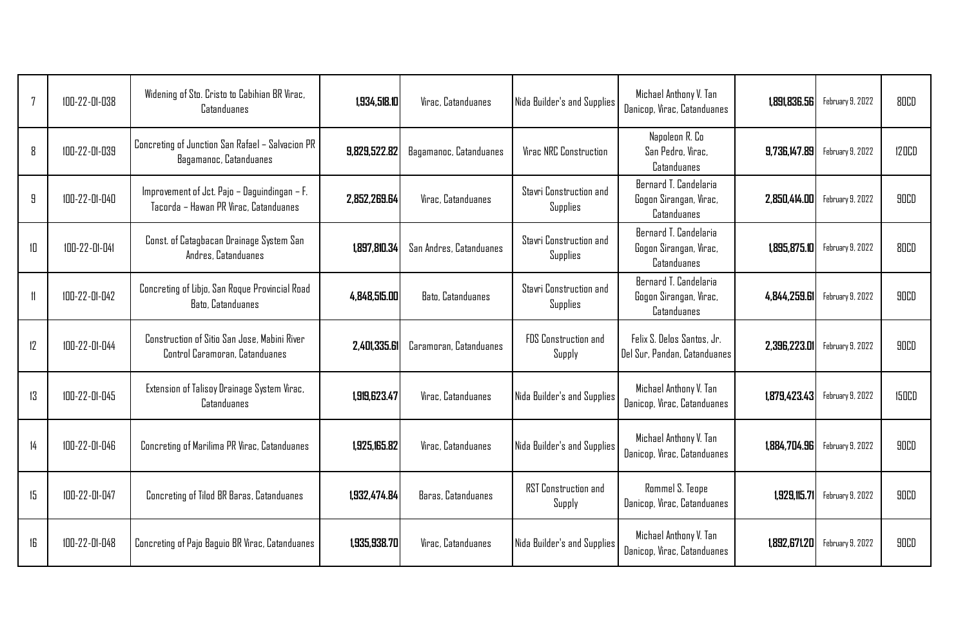| 7  | 100-22-01-038 | Widening of Sto. Cristo to Cabihian BR Virac,<br>Catanduanes                          | 1,934,518.10 | Virac, Catanduanes       | Nida Builder's and Supplies                | Michael Anthony V. Tan<br>Danicop, Virac, Catanduanes                 | 1,891,836.56 | February 9, 2022 | <b>80CD</b>  |
|----|---------------|---------------------------------------------------------------------------------------|--------------|--------------------------|--------------------------------------------|-----------------------------------------------------------------------|--------------|------------------|--------------|
| 8  | 100-22-01-039 | Concreting of Junction San Rafael - Salvacion PR<br>Bagamanoc, Catanduanes            | 9,829,522.82 | Bagamanoc, Catanduanes   | <b>Virac NRC Construction</b>              | Napoleon R. Co<br>San Pedro, Virac,<br>Catanduanes                    | 9,736,147.89 | February 9, 2022 | <b>120CD</b> |
| 9  | 100-22-01-040 | Improvement of Jct. Pajo - Daguindingan - F.<br>Tacorda - Hawan PR Virac, Catanduanes | 2.852.269.64 | Virac, Catanduanes       | Stavri Construction and<br><b>Supplies</b> | Bernard T. Candelaria<br>Gogon Sirangan, Virac,<br>Catanduanes        | 2,850,414.00 | February 9, 2022 | <b>90CD</b>  |
| 10 | 100-22-01-041 | Const. of Catagbacan Drainage System San<br>Andres, Catanduanes                       | 1,897,810.34 | San Andres, Catanduanes  | Stavri Construction and<br>Supplies        | Bernard T. Candelaria<br>Gogon Sirangan, Virac,<br><b>Catanduanes</b> | 1,895,875.10 | February 9, 2022 | <b>80CD</b>  |
| 11 | 100-22-01-042 | Concreting of Libjo, San Roque Provincial Road<br>Bato, Catanduanes                   | 4.848.515.00 | <b>Bato, Catanduanes</b> | Stavri Construction and<br>Supplies        | Bernard T. Candelaria<br>Gogon Sirangan, Virac,<br>Catanduanes        | 4,844,259.61 | February 9, 2022 | <b>90CD</b>  |
| 12 | 100-22-01-044 | Construction of Sitio San Jose, Mabini River<br>Control Caramoran, Catanduanes        | 2,401,335.61 | Caramoran, Catanduanes   | <b>FDS</b> Construction and<br>Supply      | Felix S. Delos Santos, Jr.<br>Del Sur, Pandan, Catanduanes            | 2,396,223.01 | February 9, 2022 | <b>90CD</b>  |
| 13 | 100-22-01-045 | Extension of Talisoy Drainage System Virac,<br>Catanduanes                            | 1,919,623.47 | Virac, Catanduanes       | Nida Builder's and Supplies                | Michael Anthony V. Tan<br>Danicop, Virac, Catanduanes                 | 1,879,423.43 | February 9, 2022 | <b>150CD</b> |
| 14 | 100-22-01-046 | Concreting of Marilima PR Virac, Catanduanes                                          | 1,925,165.82 | Virac, Catanduanes       | Nida Builder's and Supplies                | Michael Anthony V. Tan<br>Danicop, Virac, Catanduanes                 | 1,884,704.96 | February 9, 2022 | <b>90CD</b>  |
| 15 | 100-22-01-047 | Concreting of Tilod BR Baras, Catanduanes                                             | 1,932,474.84 | Baras, Catanduanes       | RST Construction and<br>Supply             | Rommel S. Teope<br>Danicop, Virac, Catanduanes                        | 1,929,115.71 | February 9, 2022 | <b>90CD</b>  |
| 16 | 100-22-01-048 | Concreting of Pajo Baguio BR Virac, Catanduanes                                       | 1,935,938.70 | Virac, Catanduanes       | Nida Builder's and Supplies                | Michael Anthony V. Tan<br>Danicop, Virac, Catanduanes                 | 1,892,671.20 | February 9, 2022 | <b>90CD</b>  |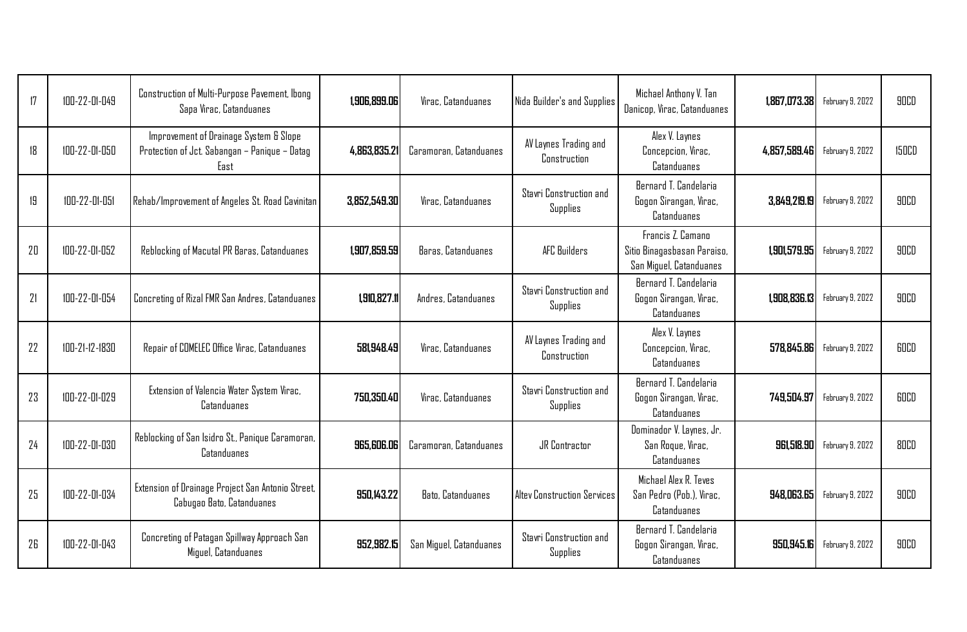| 17 | 100-22-01-049  | Construction of Multi-Purpose Pavement, Ibong<br>Sapa Virac, Catanduanes                        | 1,906,899.06 | Virac, Catanduanes       | Nida Builder's and Supplies                       | Michael Anthony V. Tan<br>Danicop, Virac, Catanduanes                       | 1,867,073.38 | February 9, 2022 | <b>90CD</b>  |
|----|----------------|-------------------------------------------------------------------------------------------------|--------------|--------------------------|---------------------------------------------------|-----------------------------------------------------------------------------|--------------|------------------|--------------|
| 18 | 100-22-01-050  | Improvement of Drainage System & Slope<br>Protection of Jct. Sabangan - Panique - Datag<br>East | 4,863,835.21 | Caramoran, Catanduanes   | AV Laynes Trading and<br>Construction             | Alex V. Laynes<br>Concepcion, Virac,<br>Catanduanes                         | 4,857,589.46 | February 9, 2022 | <b>150CD</b> |
| 19 | 100-22-01-051  | Rehab/Improvement of Angeles St. Road Cavinitan                                                 | 3,852,549.30 | Virac, Catanduanes       | <b>Stavri Construction and</b><br><b>Supplies</b> | Bernard T. Candelaria<br>Gogon Sirangan, Virac,<br>Catanduanes              | 3,849,219.19 | February 9, 2022 | <b>90CD</b>  |
| 20 | 100-22-01-052  | Reblocking of Macutal PR Baras, Catanduanes                                                     | 1,907,859.59 | Baras, Catanduanes       | AFC Builders                                      | Francis Z. Camano<br>Sitio Binagasbasan Paraiso,<br>San Miguel, Catanduanes | 1.901.579.95 | February 9, 2022 | 90CD         |
| 21 | 100-22-01-054  | Concreting of Rizal FMR San Andres, Catanduanes                                                 | 1,910,827.11 | Andres, Catanduanes      | <b>Stavri Construction and</b><br>Supplies        | Bernard T. Candelaria<br>Gogon Sirangan, Virac,<br>Catanduanes              | 1,908,836.13 | February 9, 2022 | <b>90CD</b>  |
| 22 | 100-21-12-1830 | Repair of COMELEC Office Virac, Catanduanes                                                     | 581,948.49   | Virac, Catanduanes       | AV Laynes Trading and<br><b>Construction</b>      | Alex V. Laynes<br>Concepcion, Virac,<br>Catanduanes                         | 578,845.86   | February 9, 2022 | <b>GOCD</b>  |
| 23 | 100-22-01-029  | Extension of Valencia Water System Virac,<br>Catanduanes                                        | 750,350.40   | Virac, Catanduanes       | Stavri Construction and<br><b>Supplies</b>        | Bernard T. Candelaria<br>Gogon Sirangan, Virac,<br>Catanduanes              | 749,504.97   | February 9, 2022 | <b>60CD</b>  |
| 24 | 100-22-01-030  | Reblocking of San Isidro St., Panique Caramoran,<br>Catanduanes                                 | 965,606.06   | Caramoran, Catanduanes   | <b>JR</b> Contractor                              | Dominador V. Laynes, Jr.<br>San Roque, Virac,<br>Catanduanes                | 961,518.90   | February 9, 2022 | <b>80CD</b>  |
| 25 | 100-22-01-034  | Extension of Drainage Project San Antonio Street,<br>Cabugao Bato, Catanduanes                  | 950.143.22   | <b>Bato, Catanduanes</b> | <b>Altey Construction Services</b>                | Michael Alex R. Teves<br>San Pedro (Pob.), Virac,<br>Catanduanes            | 948.063.65   | February 9, 2022 | 90CD         |
| 26 | 100-22-01-043  | Concreting of Patagan Spillway Approach San<br>Miguel, Catanduanes                              | 952,982.15   | San Miguel, Catanduanes  | Stavri Construction and<br><b>Supplies</b>        | Bernard T. Candelaria<br>Gogon Sirangan, Virac,<br>Catanduanes              | 950,945.16   | February 9, 2022 | 90CD         |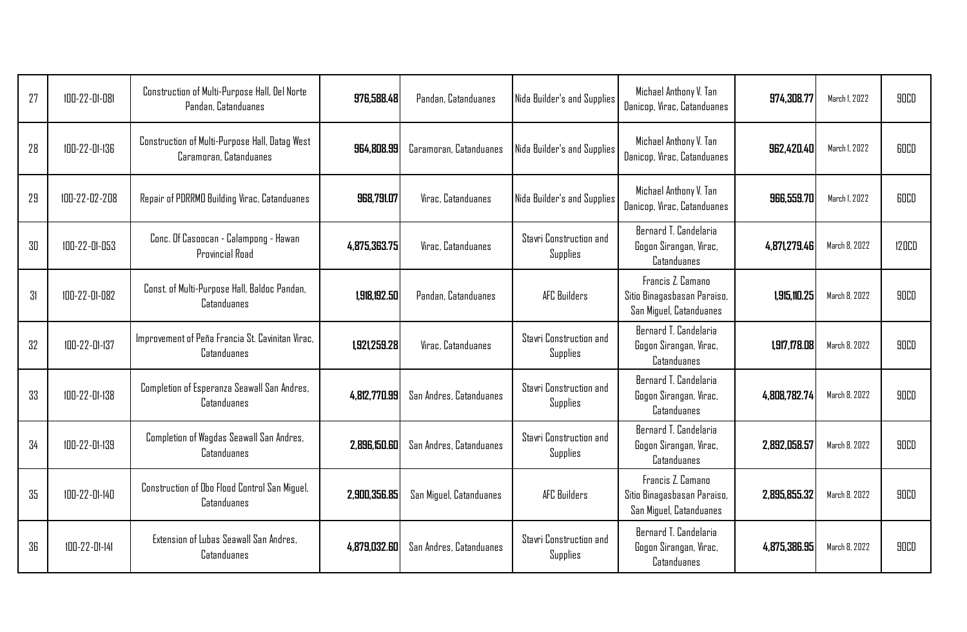| 27  | 100-22-01-081 | Construction of Multi-Purpose Hall, Del Norte<br>Pandan, Catanduanes     | 976,588.48   | Pandan, Catanduanes     | Nida Builder's and Supplies                | Michael Anthony V. Tan<br>Danicop, Virac, Catanduanes                       | 974.308.77   | March 1, 2022 | 90CD         |
|-----|---------------|--------------------------------------------------------------------------|--------------|-------------------------|--------------------------------------------|-----------------------------------------------------------------------------|--------------|---------------|--------------|
| 28  | 100-22-01-136 | Construction of Multi-Purpose Hall, Datag West<br>Caramoran, Catanduanes | 964,808.99   | Caramoran, Catanduanes  | Nida Builder's and Supplies                | Michael Anthony V. Tan<br>Danicop, Virac, Catanduanes                       | 962,420.40   | March 1, 2022 | <b>GOCD</b>  |
| 29  | 100-22-02-208 | Repair of PDRRMD Building Virac, Catanduanes                             | 968,791.07   | Virac, Catanduanes      | Nida Builder's and Supplies                | Michael Anthony V. Tan<br>Danicop, Virac, Catanduanes                       | 966,559.70   | March 1, 2022 | <b>GOCD</b>  |
| -30 | 100-22-01-053 | Conc. Of Casoocan - Calampong - Hawan<br>Provincial Road                 | 4.875.363.75 | Virac, Catanduanes      | Stavri Construction and<br>Supplies        | Bernard T. Candelaria<br>Gogon Sirangan, Virac,<br>Catanduanes              | 4,871,279.46 | March 8, 2022 | <b>120CD</b> |
| 31  | 100-22-01-082 | Const. of Multi-Purpose Hall, Baldoc Pandan,<br>Catanduanes              | 1,918,192.50 | Pandan, Catanduanes     | AFC Builders                               | Francis Z. Camano<br>Sitio Binagasbasan Paraiso,<br>San Miguel, Catanduanes | 1,915,110.25 | March 8, 2022 | 90CD         |
| 32  | 100-22-01-137 | Improvement of Peña Francia St. Cavinitan Virac.<br>Catanduanes          | 1,921,259.28 | Virac, Catanduanes      | Stavri Construction and<br>Supplies        | Bernard T. Candelaria<br>Gogon Sirangan, Virac,<br>Catanduanes              | 1,917,178.08 | March 8, 2022 | <b>90CD</b>  |
| 33  | 100-22-01-138 | Completion of Esperanza Seawall San Andres,<br>Catanduanes               | 4,812,770.99 | San Andres, Catanduanes | Stavri Construction and<br>Supplies        | Bernard T. Candelaria<br>Gogon Sirangan, Virac,<br>Catanduanes              | 4,808,782.74 | March 8, 2022 | 90CD         |
| 34  | 100-22-01-139 | Completion of Wagdas Seawall San Andres,<br>Catanduanes                  | 2.896.150.60 | San Andres, Catanduanes | Stavri Construction and<br><b>Supplies</b> | Bernard T. Candelaria<br>Gogon Sirangan, Virac,<br>Catanduanes              | 2,892,058.57 | March 8, 2022 | 90CD         |
| 35  | 100-22-01-140 | Construction of Obo Flood Control San Miguel,<br>Catanduanes             | 2,900,356.85 | San Miguel, Catanduanes | AFC Builders                               | Francis Z. Camano<br>Sitio Binagasbasan Paraiso,<br>San Miguel, Catanduanes | 2,895,855.32 | March 8, 2022 | 90CD         |
| 36  | 100-22-01-141 | Extension of Lubas Seawall San Andres.<br>Catanduanes                    | 4.879.032.60 | San Andres, Catanduanes | <b>Stavri Construction and</b><br>Supplies | Bernard T. Candelaria<br>Gogon Sirangan, Virac,<br>Catanduanes              | 4,875,386.95 | March 8, 2022 | <b>90CD</b>  |